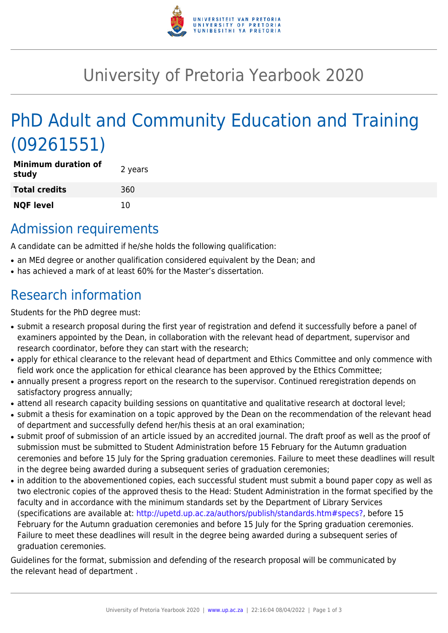

# University of Pretoria Yearbook 2020

# PhD Adult and Community Education and Training (09261551)

| <b>Minimum duration of</b><br>study | 2 years |
|-------------------------------------|---------|
| <b>Total credits</b>                | 360     |
| <b>NQF level</b>                    | 10      |

### Admission requirements

A candidate can be admitted if he/she holds the following qualification:

- an MEd degree or another qualification considered equivalent by the Dean; and
- has achieved a mark of at least 60% for the Master's dissertation.

## Research information

Students for the PhD degree must:

- submit a research proposal during the first year of registration and defend it successfully before a panel of examiners appointed by the Dean, in collaboration with the relevant head of department, supervisor and research coordinator, before they can start with the research;
- apply for ethical clearance to the relevant head of department and Ethics Committee and only commence with field work once the application for ethical clearance has been approved by the Ethics Committee;
- annually present a progress report on the research to the supervisor. Continued reregistration depends on satisfactory progress annually;
- attend all research capacity building sessions on quantitative and qualitative research at doctoral level;
- submit a thesis for examination on a topic approved by the Dean on the recommendation of the relevant head of department and successfully defend her/his thesis at an oral examination;
- submit proof of submission of an article issued by an accredited journal. The draft proof as well as the proof of submission must be submitted to Student Administration before 15 February for the Autumn graduation ceremonies and before 15 July for the Spring graduation ceremonies. Failure to meet these deadlines will result in the degree being awarded during a subsequent series of graduation ceremonies;
- in addition to the abovementioned copies, each successful student must submit a bound paper copy as well as two electronic copies of the approved thesis to the Head: Student Administration in the format specified by the faculty and in accordance with the minimum standards set by the Department of Library Services (specifications are available at: [http://upetd.up.ac.za/authors/publish/standards.htm#specs?,](http://upetd.up.ac.za/authors/publish/standards.htm#specs) before 15 February for the Autumn graduation ceremonies and before 15 July for the Spring graduation ceremonies. Failure to meet these deadlines will result in the degree being awarded during a subsequent series of graduation ceremonies.

Guidelines for the format, submission and defending of the research proposal will be communicated by the relevant head of department .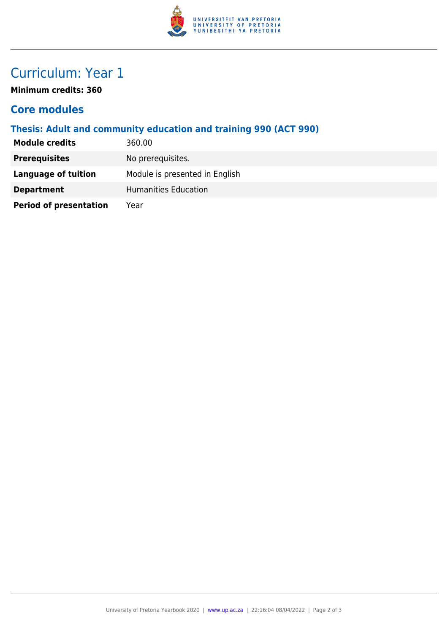

## Curriculum: Year 1

**Minimum credits: 360**

#### **Core modules**

#### **Thesis: Adult and community education and training 990 (ACT 990)**

| <b>Module credits</b>         | 360.00                         |
|-------------------------------|--------------------------------|
| <b>Prerequisites</b>          | No prerequisites.              |
| Language of tuition           | Module is presented in English |
| <b>Department</b>             | Humanities Education           |
| <b>Period of presentation</b> | Year                           |